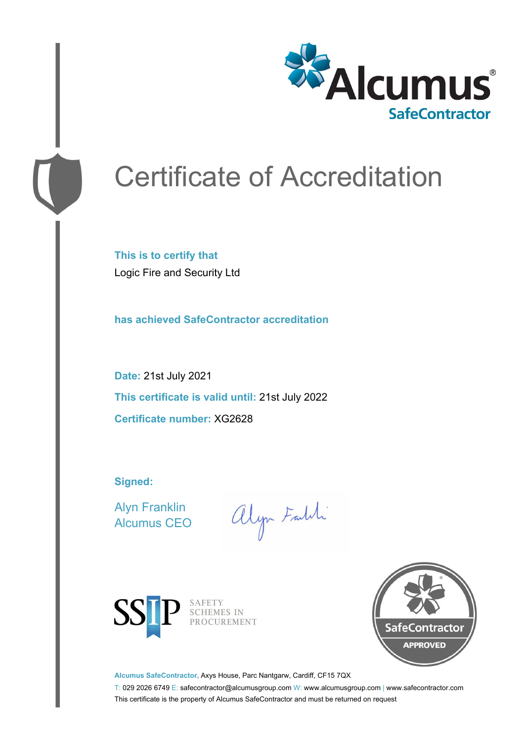

# Certificate of Accreditation

**This is to certify that** Logic Fire and Security Ltd

**has achieved SafeContractor accreditation**

**Date:** 21st July 2021 **This certificate is valid until:** 21st July 2022 **Certificate number:** XG2628

**Signed:**

Alyn Franklin Alcumus CEO

alyn Faldi



SAFETY<br>SCHEMES IN PROCUREMENT



**Alcumus SafeContractor,** Axys House, Parc Nantgarw, Cardiff, CF15 7QX

T: 029 2026 6749 E: safecontractor@alcumusgroup.com W: www.alcumusgroup.com | www.safecontractor.com This certificate is the property of Alcumus SafeContractor and must be returned on request